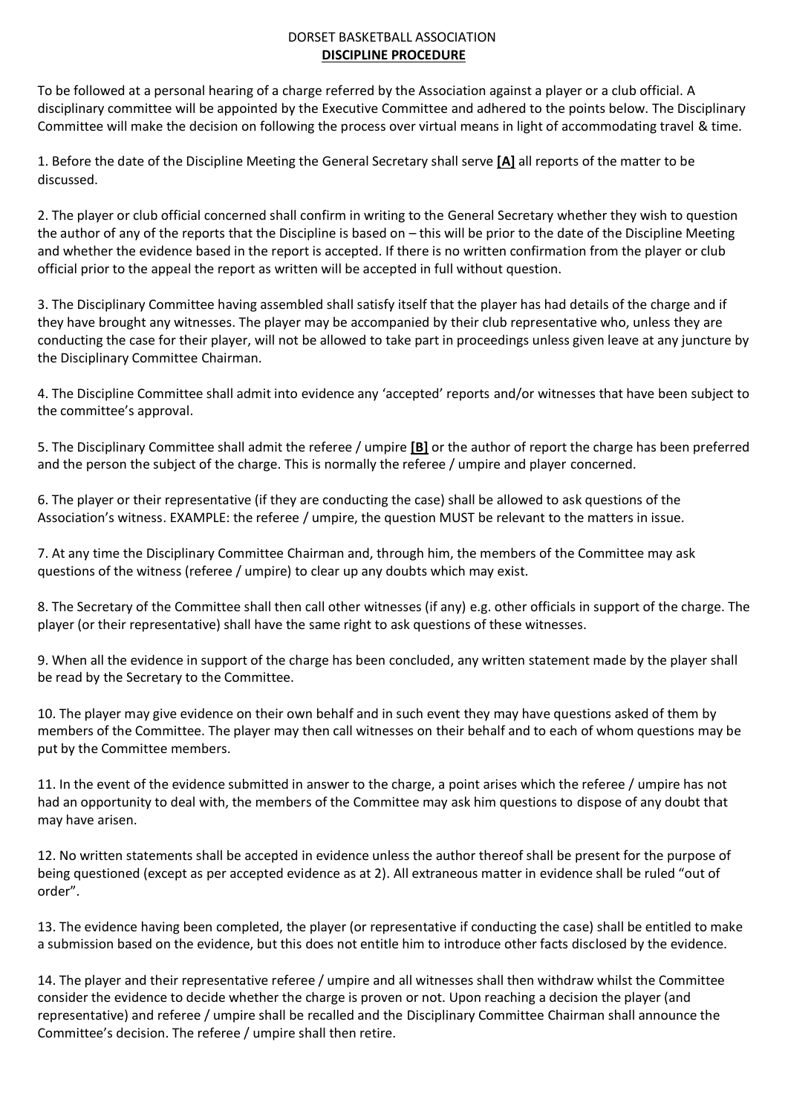## DORSET BASKETBALL ASSOCIATION **DISCIPLINE PROCEDURE**

To be followed at a personal hearing of a charge referred by the Association against a player or a club official. A disciplinary committee will be appointed by the Executive Committee and adhered to the points below. The Disciplinary Committee will make the decision on following the process over virtual means in light of accommodating travel & time.

1. Before the date of the Discipline Meeting the General Secretary shall serve **[A]** all reports of the matter to be discussed.

2. The player or club official concerned shall confirm in writing to the General Secretary whether they wish to question the author of any of the reports that the Discipline is based on – this will be prior to the date of the Discipline Meeting and whether the evidence based in the report is accepted. If there is no written confirmation from the player or club official prior to the appeal the report as written will be accepted in full without question.

3. The Disciplinary Committee having assembled shall satisfy itself that the player has had details of the charge and if they have brought any witnesses. The player may be accompanied by their club representative who, unless they are conducting the case for their player, will not be allowed to take part in proceedings unless given leave at any juncture by the Disciplinary Committee Chairman.

4. The Discipline Committee shall admit into evidence any 'accepted' reports and/or witnesses that have been subject to the committee's approval.

5. The Disciplinary Committee shall admit the referee / umpire **[B]** or the author of report the charge has been preferred and the person the subject of the charge. This is normally the referee / umpire and player concerned.

6. The player or their representative (if they are conducting the case) shall be allowed to ask questions of the Association's witness. EXAMPLE: the referee / umpire, the question MUST be relevant to the matters in issue.

7. At any time the Disciplinary Committee Chairman and, through him, the members of the Committee may ask questions of the witness (referee / umpire) to clear up any doubts which may exist.

8. The Secretary of the Committee shall then call other witnesses (if any) e.g. other officials in support of the charge. The player (or their representative) shall have the same right to ask questions of these witnesses.

9. When all the evidence in support of the charge has been concluded, any written statement made by the player shall be read by the Secretary to the Committee.

10. The player may give evidence on their own behalf and in such event they may have questions asked of them by members of the Committee. The player may then call witnesses on their behalf and to each of whom questions may be put by the Committee members.

11. In the event of the evidence submitted in answer to the charge, a point arises which the referee / umpire has not had an opportunity to deal with, the members of the Committee may ask him questions to dispose of any doubt that may have arisen.

12. No written statements shall be accepted in evidence unless the author thereof shall be present for the purpose of being questioned (except as per accepted evidence as at 2). All extraneous matter in evidence shall be ruled "out of order".

13. The evidence having been completed, the player (or representative if conducting the case) shall be entitled to make a submission based on the evidence, but this does not entitle him to introduce other facts disclosed by the evidence.

14. The player and their representative referee / umpire and all witnesses shall then withdraw whilst the Committee consider the evidence to decide whether the charge is proven or not. Upon reaching a decision the player (and representative) and referee / umpire shall be recalled and the Disciplinary Committee Chairman shall announce the Committee's decision. The referee / umpire shall then retire.